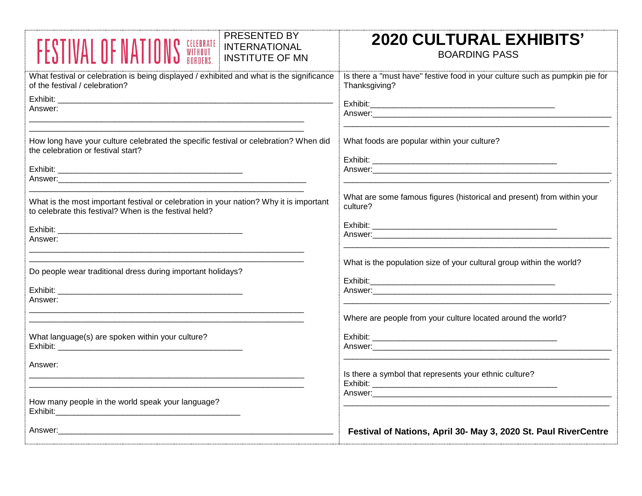| <b>PRESENTED BY</b><br><b>NS <i>CELEBRATE</i></b><br><b>NS</b> <i>BORDERS</i> .<br><b>FESTIVAL OF NATIL</b><br><b>INTERNATIONAL</b><br><b>INSTITUTE OF MN</b> | <b>2020 CULTURAL EXHIBITS'</b><br><b>BOARDING PASS</b>                                                         |
|---------------------------------------------------------------------------------------------------------------------------------------------------------------|----------------------------------------------------------------------------------------------------------------|
| What festival or celebration is being displayed / exhibited and what is the significance<br>of the festival / celebration?                                    | Is there a "must have" festive food in your culture such as pumpkin pie for<br>Thanksgiving?                   |
| Answer:                                                                                                                                                       |                                                                                                                |
| How long have your culture celebrated the specific festival or celebration? When did<br>the celebration or festival start?                                    | What foods are popular within your culture?                                                                    |
|                                                                                                                                                               |                                                                                                                |
| What is the most important festival or celebration in your nation? Why it is important<br>to celebrate this festival? When is the festival held?              | What are some famous figures (historical and present) from within your<br>culture?                             |
| Answer:                                                                                                                                                       |                                                                                                                |
| Do people wear traditional dress during important holidays?                                                                                                   | What is the population size of your cultural group within the world?                                           |
| Answer:                                                                                                                                                       |                                                                                                                |
|                                                                                                                                                               | Where are people from your culture located around the world?                                                   |
| What language(s) are spoken within your culture?                                                                                                              |                                                                                                                |
| Answer:                                                                                                                                                       | Is there a symbol that represents your ethnic culture?                                                         |
| How many people in the world speak your language?                                                                                                             | Answer: Answer Answer Answer Answer Answer Answer Answer Answer Answer Answer Answer Answer Answer Answer Answ |
| Answer:                                                                                                                                                       | Festival of Nations, April 30- May 3, 2020 St. Paul RiverCentre                                                |